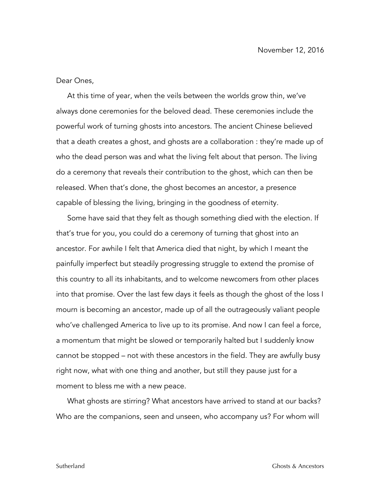Dear Ones,

At this time of year, when the veils between the worlds grow thin, we've always done ceremonies for the beloved dead. These ceremonies include the powerful work of turning ghosts into ancestors. The ancient Chinese believed that a death creates a ghost, and ghosts are a collaboration : they're made up of who the dead person was and what the living felt about that person. The living do a ceremony that reveals their contribution to the ghost, which can then be released. When that's done, the ghost becomes an ancestor, a presence capable of blessing the living, bringing in the goodness of eternity.

Some have said that they felt as though something died with the election. If that's true for you, you could do a ceremony of turning that ghost into an ancestor. For awhile I felt that America died that night, by which I meant the painfully imperfect but steadily progressing struggle to extend the promise of this country to all its inhabitants, and to welcome newcomers from other places into that promise. Over the last few days it feels as though the ghost of the loss I mourn is becoming an ancestor, made up of all the outrageously valiant people who've challenged America to live up to its promise. And now I can feel a force, a momentum that might be slowed or temporarily halted but I suddenly know cannot be stopped – not with these ancestors in the field. They are awfully busy right now, what with one thing and another, but still they pause just for a moment to bless me with a new peace.

What ghosts are stirring? What ancestors have arrived to stand at our backs? Who are the companions, seen and unseen, who accompany us? For whom will